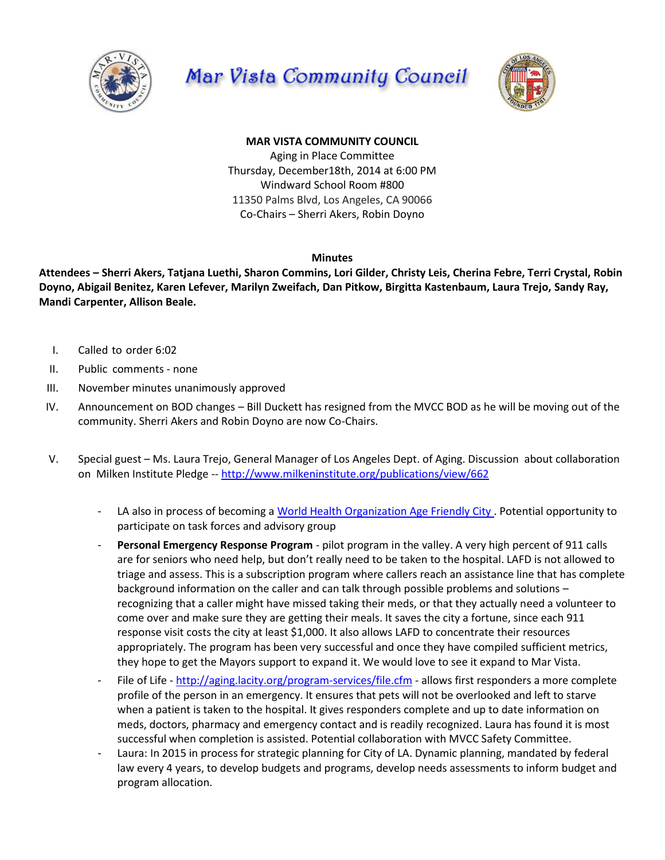





## **MAR VISTA COMMUNITY COUNCIL**

Aging in Place Committee Thursday, December18th, 2014 at 6:00 PM Windward School Room #800 11350 Palms Blvd, Los Angeles, CA 90066 Co-Chairs – Sherri Akers, Robin Doyno

## **Minutes**

**Attendees – Sherri Akers, Tatjana Luethi, Sharon Commins, Lori Gilder, Christy Leis, Cherina Febre, Terri Crystal, Robin Doyno, Abigail Benitez, Karen Lefever, Marilyn Zweifach, Dan Pitkow, Birgitta Kastenbaum, Laura Trejo, Sandy Ray, Mandi Carpenter, Allison Beale.**

- I. Called to order 6:02
- II. Public comments none
- III. November minutes unanimously approved
- IV. Announcement on BOD changes Bill Duckett has resigned from the MVCC BOD as he will be moving out of the community. Sherri Akers and Robin Doyno are now Co-Chairs.
- V. Special guest Ms. Laura Trejo, General Manager of Los Angeles Dept. of Aging. Discussion about collaboration on Milken Institute Pledge -- <http://www.milkeninstitute.org/publications/view/662>
	- LA also in process of becoming a [World Health Organization Age Friendly City .](http://www.who.int/ageing/age_friendly_cities_guide/en/) Potential opportunity to participate on task forces and advisory group
	- Personal Emergency Response Program pilot program in the valley. A very high percent of 911 calls are for seniors who need help, but don't really need to be taken to the hospital. LAFD is not allowed to triage and assess. This is a subscription program where callers reach an assistance line that has complete background information on the caller and can talk through possible problems and solutions – recognizing that a caller might have missed taking their meds, or that they actually need a volunteer to come over and make sure they are getting their meals. It saves the city a fortune, since each 911 response visit costs the city at least \$1,000. It also allows LAFD to concentrate their resources appropriately. The program has been very successful and once they have compiled sufficient metrics, they hope to get the Mayors support to expand it. We would love to see it expand to Mar Vista.
	- File of Life <http://aging.lacity.org/program-services/file.cfm> allows first responders a more complete profile of the person in an emergency. It ensures that pets will not be overlooked and left to starve when a patient is taken to the hospital. It gives responders complete and up to date information on meds, doctors, pharmacy and emergency contact and is readily recognized. Laura has found it is most successful when completion is assisted. Potential collaboration with MVCC Safety Committee.
	- Laura: In 2015 in process for strategic planning for City of LA. Dynamic planning, mandated by federal law every 4 years, to develop budgets and programs, develop needs assessments to inform budget and program allocation.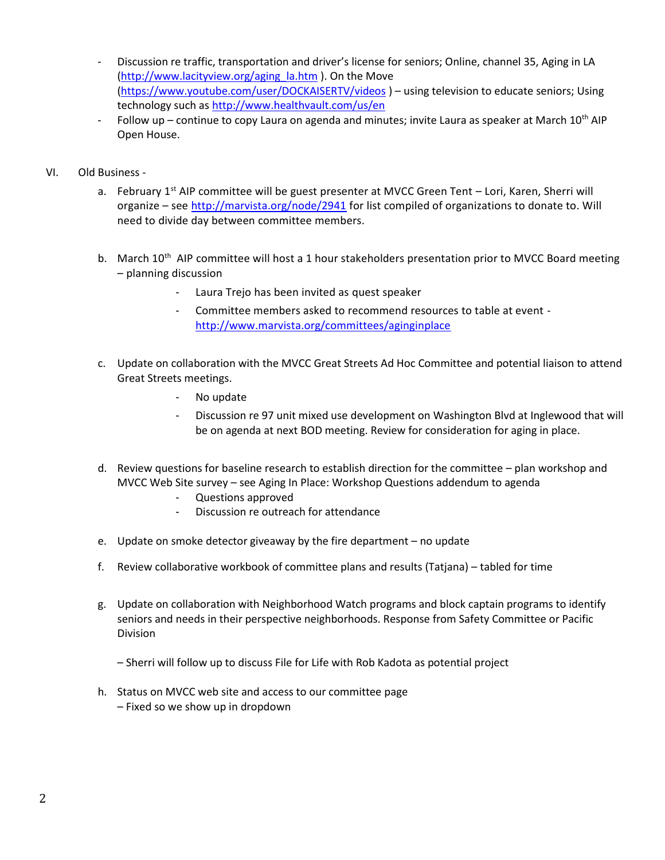- Discussion re traffic, transportation and driver's license for seniors; Online, channel 35, Aging in LA [\(http://www.lacityview.org/aging\\_la.htm](http://www.lacityview.org/aging_la.htm) ). On the Move [\(https://www.youtube.com/user/DOCKAISERTV/videos](https://www.youtube.com/user/DOCKAISERTV/videos) ) – using television to educate seniors; Using technology such as<http://www.healthvault.com/us/en>
- Follow up continue to copy Laura on agenda and minutes; invite Laura as speaker at March  $10^{th}$  AIP Open House.
- VI. Old Business
	- a. February  $1^{st}$  AIP committee will be guest presenter at MVCC Green Tent Lori, Karen, Sherri will organize – see<http://marvista.org/node/2941> for list compiled of organizations to donate to. Will need to divide day between committee members.
	- b. March 10<sup>th</sup> AIP committee will host a 1 hour stakeholders presentation prior to MVCC Board meeting – planning discussion
		- Laura Trejo has been invited as quest speaker
		- Committee members asked to recommend resources to table at event <http://www.marvista.org/committees/aginginplace>
	- c. Update on collaboration with the MVCC Great Streets Ad Hoc Committee and potential liaison to attend Great Streets meetings.
		- No update
		- Discussion re 97 unit mixed use development on Washington Blvd at Inglewood that will be on agenda at next BOD meeting. Review for consideration for aging in place.
	- d. Review questions for baseline research to establish direction for the committee plan workshop and MVCC Web Site survey – see Aging In Place: Workshop Questions addendum to agenda
		- Questions approved
		- Discussion re outreach for attendance
	- e. Update on smoke detector giveaway by the fire department no update
	- f. Review collaborative workbook of committee plans and results (Tatjana) tabled for time
	- g. Update on collaboration with Neighborhood Watch programs and block captain programs to identify seniors and needs in their perspective neighborhoods. Response from Safety Committee or Pacific Division
		- Sherri will follow up to discuss File for Life with Rob Kadota as potential project
	- h. Status on MVCC web site and access to our committee page – Fixed so we show up in dropdown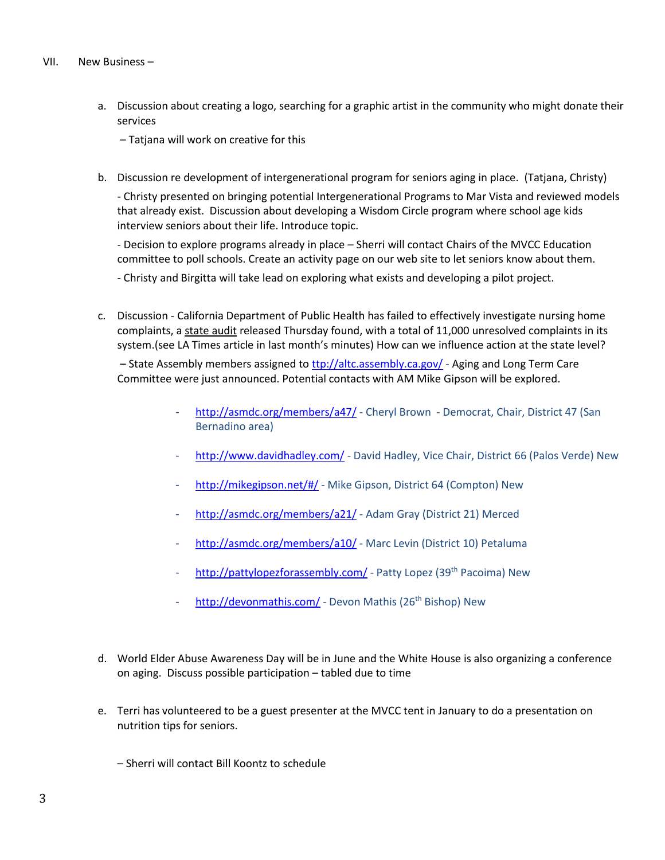## VII. New Business –

a. Discussion about creating a logo, searching for a graphic artist in the community who might donate their services

– Tatjana will work on creative for this

b. Discussion re development of intergenerational program for seniors aging in place. (Tatjana, Christy)

- Christy presented on bringing potential Intergenerational Programs to Mar Vista and reviewed models that already exist. Discussion about developing a Wisdom Circle program where school age kids interview seniors about their life. Introduce topic.

- Decision to explore programs already in place – Sherri will contact Chairs of the MVCC Education committee to poll schools. Create an activity page on our web site to let seniors know about them.

- Christy and Birgitta will take lead on exploring what exists and developing a pilot project.

c. Discussion - California Department of Public Health has failed to effectively investigate nursing home complaints, a [state audit](http://www.auditor.ca.gov/pdfs/reports/2014-111.pdf) released Thursday found, with a total of 11,000 unresolved complaints in its system.(see LA Times article in last month's minutes) How can we influence action at the state level?

– State Assembly members assigned to **the** *l***/altc.assembly.ca.gov/** - Aging and Long Term Care Committee were just announced. Potential contacts with AM Mike Gipson will be explored.

- <http://asmdc.org/members/a47/> Cheryl Brown Democrat, Chair, District 47 (San Bernadino area)
- <http://www.davidhadley.com/> David Hadley, Vice Chair, District 66 (Palos Verde) New
- <http://mikegipson.net/#/> Mike Gipson, District 64 (Compton) New
- <http://asmdc.org/members/a21/> Adam Gray (District 21) Merced
- <http://asmdc.org/members/a10/> Marc Levin (District 10) Petaluma
- <http://pattylopezforassembly.com/> Patty Lopez (39<sup>th</sup> Pacoima) New
- <http://devonmathis.com/> Devon Mathis (26<sup>th</sup> Bishop) New
- d. World Elder Abuse Awareness Day will be in June and the White House is also organizing a conference on aging. Discuss possible participation – tabled due to time
- e. Terri has volunteered to be a guest presenter at the MVCC tent in January to do a presentation on nutrition tips for seniors.
	- Sherri will contact Bill Koontz to schedule